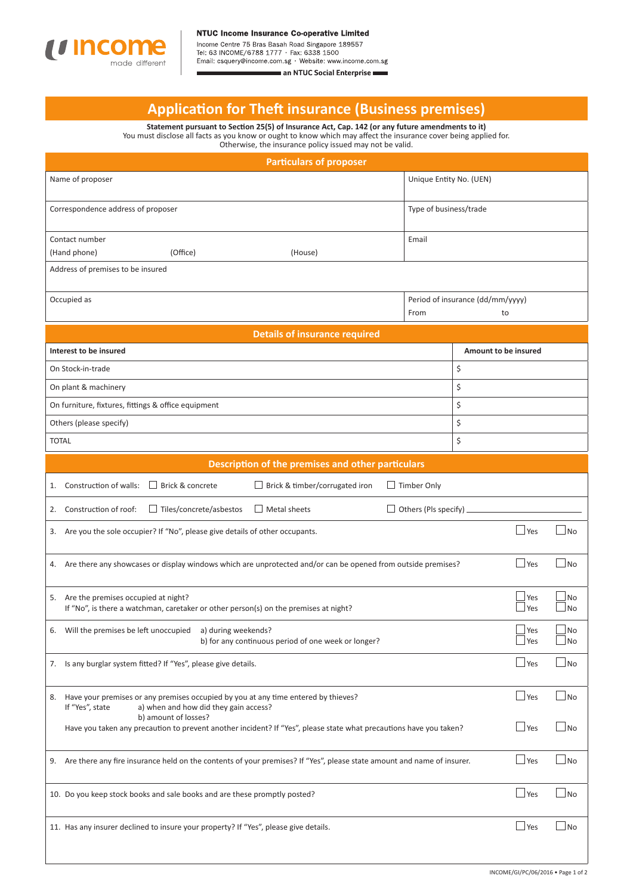

Income Centre 75 Bras Basah Road Singapore 189557<br>Tel: 63 INCOME/6788 1777 · Fax: 6338 1500<br>Email: csquery@income.com.sg · Website: www.income.com.sg

an NTUC Social Enterprise

## **Applicati on for Theft insurance (Business premises)**

**Statement pursuant to Secti on 25(5) of Insurance Act, Cap. 142 (or any future amendments to it)** You must disclose all facts as you know or ought to know which may affect the insurance cover being applied for. Otherwise, the insurance policy issued may not be valid.

| <b>Particulars of proposer</b>                                                                                                                       |                                                |                                    |  |  |
|------------------------------------------------------------------------------------------------------------------------------------------------------|------------------------------------------------|------------------------------------|--|--|
| Name of proposer                                                                                                                                     | Unique Entity No. (UEN)                        |                                    |  |  |
| Correspondence address of proposer                                                                                                                   | Type of business/trade                         |                                    |  |  |
| Contact number                                                                                                                                       | Email                                          |                                    |  |  |
| (Hand phone)<br>(Office)<br>(House)                                                                                                                  |                                                |                                    |  |  |
| Address of premises to be insured                                                                                                                    |                                                |                                    |  |  |
| Occupied as                                                                                                                                          | Period of insurance (dd/mm/yyyy)<br>From<br>to |                                    |  |  |
| <b>Details of insurance required</b>                                                                                                                 |                                                |                                    |  |  |
| Interest to be insured                                                                                                                               |                                                | Amount to be insured               |  |  |
| On Stock-in-trade                                                                                                                                    |                                                |                                    |  |  |
| On plant & machinery                                                                                                                                 |                                                |                                    |  |  |
| On furniture, fixtures, fittings & office equipment                                                                                                  |                                                |                                    |  |  |
| Others (please specify)                                                                                                                              | \$                                             |                                    |  |  |
| <b>TOTAL</b>                                                                                                                                         |                                                |                                    |  |  |
| Description of the premises and other particulars                                                                                                    |                                                |                                    |  |  |
| $\Box$ Brick & concrete<br>$\Box$ Timber Only<br>Construction of walls:<br>$\Box$ Brick & timber/corrugated iron<br>1.                               |                                                |                                    |  |  |
| $\Box$ Metal sheets<br>$\Box$ Tiles/concrete/asbestos<br>Construction of roof:<br>2.                                                                 | Others (Pls specify).                          |                                    |  |  |
| 3. Are you the sole occupier? If "No", please give details of other occupants.                                                                       |                                                | $\Box$ Yes<br>∫No                  |  |  |
| 4. Are there any showcases or display windows which are unprotected and/or can be opened from outside premises?                                      |                                                | $\Box$ Yes<br>N <sub>o</sub>       |  |  |
| 5. Are the premises occupied at night?<br>If "No", is there a watchman, caretaker or other person(s) on the premises at night?                       |                                                | Yes<br>No<br>Yes<br><b>No</b>      |  |  |
| Will the premises be left unoccupied a) during weekends?<br>6.<br>b) for any continuous period of one week or longer?                                |                                                | $\Box$ Yes<br>__ No<br>l Yes<br>No |  |  |
| 7. Is any burglar system fitted? If "Yes", please give details.                                                                                      |                                                | $\Box$ Yes<br>No                   |  |  |
| Have your premises or any premises occupied by you at any time entered by thieves?<br>8.<br>If "Yes", state<br>a) when and how did they gain access? |                                                | $\Box$ Yes<br>$\Box$ No            |  |  |
| b) amount of losses?<br>Have you taken any precaution to prevent another incident? If "Yes", please state what precautions have you taken?           |                                                | $\Box$ Yes<br>l No                 |  |  |
| Are there any fire insurance held on the contents of your premises? If "Yes", please state amount and name of insurer.<br>9.                         |                                                | $\Box$ Yes<br>$\Box$ No            |  |  |
| 10. Do you keep stock books and sale books and are these promptly posted?                                                                            |                                                | $\Box$ Yes<br>∫No                  |  |  |
| 11. Has any insurer declined to insure your property? If "Yes", please give details.                                                                 |                                                | $\Box$ Yes<br>J No                 |  |  |